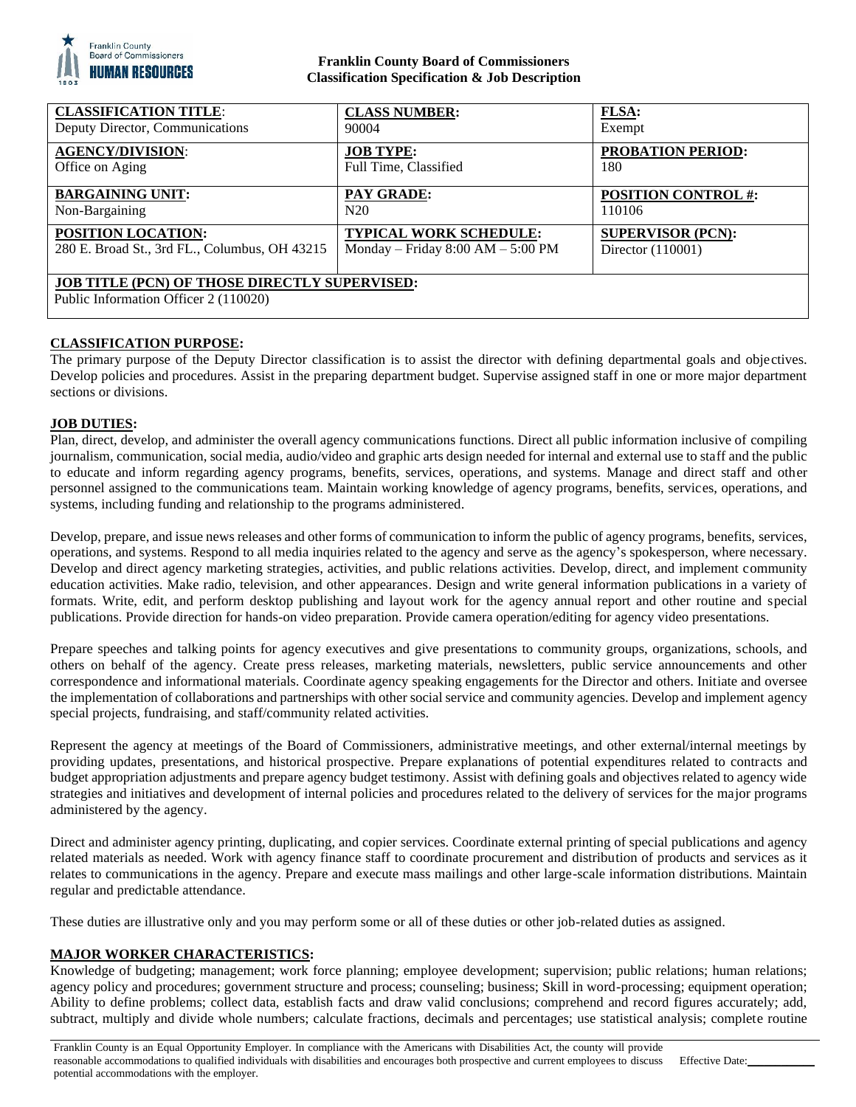

## **Franklin County Board of Commissioners Classification Specification & Job Description**

| <b>CLASSIFICATION TITLE:</b>                                                                  | <b>CLASS NUMBER:</b>                | <b>FLSA:</b>               |
|-----------------------------------------------------------------------------------------------|-------------------------------------|----------------------------|
| Deputy Director, Communications                                                               | 90004                               | Exempt                     |
| <b>AGENCY/DIVISION:</b>                                                                       | <b>JOB TYPE:</b>                    | <b>PROBATION PERIOD:</b>   |
| Office on Aging                                                                               | Full Time, Classified               | 180                        |
| <b>BARGAINING UNIT:</b>                                                                       | <b>PAY GRADE:</b>                   | <b>POSITION CONTROL #:</b> |
| Non-Bargaining                                                                                | N20                                 | 110106                     |
| POSITION LOCATION:                                                                            | <b>TYPICAL WORK SCHEDULE:</b>       | <b>SUPERVISOR (PCN):</b>   |
| 280 E. Broad St., 3rd FL., Columbus, OH 43215                                                 | Monday – Friday $8:00 AM - 5:00 PM$ | Director (110001)          |
| <b>JOB TITLE (PCN) OF THOSE DIRECTLY SUPERVISED:</b><br>Public Information Officer 2 (110020) |                                     |                            |

# **CLASSIFICATION PURPOSE:**

The primary purpose of the Deputy Director classification is to assist the director with defining departmental goals and objectives. Develop policies and procedures. Assist in the preparing department budget. Supervise assigned staff in one or more major department sections or divisions.

### **JOB DUTIES:**

Plan, direct, develop, and administer the overall agency communications functions. Direct all public information inclusive of compiling journalism, communication, social media, audio/video and graphic arts design needed for internal and external use to staff and the public to educate and inform regarding agency programs, benefits, services, operations, and systems. Manage and direct staff and other personnel assigned to the communications team. Maintain working knowledge of agency programs, benefits, services, operations, and systems, including funding and relationship to the programs administered.

Develop, prepare, and issue news releases and other forms of communication to inform the public of agency programs, benefits, services, operations, and systems. Respond to all media inquiries related to the agency and serve as the agency's spokesperson, where necessary. Develop and direct agency marketing strategies, activities, and public relations activities. Develop, direct, and implement community education activities. Make radio, television, and other appearances. Design and write general information publications in a variety of formats. Write, edit, and perform desktop publishing and layout work for the agency annual report and other routine and special publications. Provide direction for hands-on video preparation. Provide camera operation/editing for agency video presentations.

Prepare speeches and talking points for agency executives and give presentations to community groups, organizations, schools, and others on behalf of the agency. Create press releases, marketing materials, newsletters, public service announcements and other correspondence and informational materials. Coordinate agency speaking engagements for the Director and others. Initiate and oversee the implementation of collaborations and partnerships with other social service and community agencies. Develop and implement agency special projects, fundraising, and staff/community related activities.

Represent the agency at meetings of the Board of Commissioners, administrative meetings, and other external/internal meetings by providing updates, presentations, and historical prospective. Prepare explanations of potential expenditures related to contracts and budget appropriation adjustments and prepare agency budget testimony. Assist with defining goals and objectives related to agency wide strategies and initiatives and development of internal policies and procedures related to the delivery of services for the major programs administered by the agency.

Direct and administer agency printing, duplicating, and copier services. Coordinate external printing of special publications and agency related materials as needed. Work with agency finance staff to coordinate procurement and distribution of products and services as it relates to communications in the agency. Prepare and execute mass mailings and other large-scale information distributions. Maintain regular and predictable attendance.

These duties are illustrative only and you may perform some or all of these duties or other job-related duties as assigned.

### **MAJOR WORKER CHARACTERISTICS:**

Knowledge of budgeting; management; work force planning; employee development; supervision; public relations; human relations; agency policy and procedures; government structure and process; counseling; business; Skill in word-processing; equipment operation; Ability to define problems; collect data, establish facts and draw valid conclusions; comprehend and record figures accurately; add, subtract, multiply and divide whole numbers; calculate fractions, decimals and percentages; use statistical analysis; complete routine